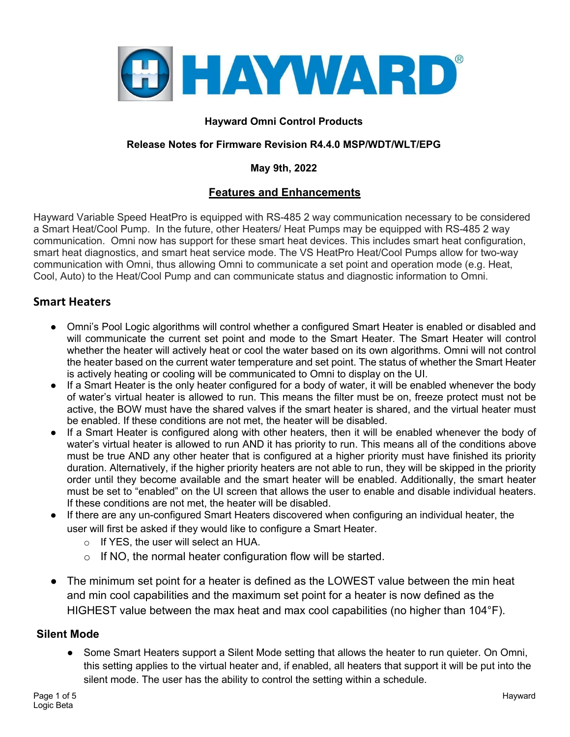

### **Hayward Omni Control Products**

#### **Release Notes for Firmware Revision R4.4.0 MSP/WDT/WLT/EPG**

#### **May 9th, 2022**

## **Features and Enhancements**

Hayward Variable Speed HeatPro is equipped with RS-485 2 way communication necessary to be considered a Smart Heat/Cool Pump. In the future, other Heaters/ Heat Pumps may be equipped with RS-485 2 way communication. Omni now has support for these smart heat devices. This includes smart heat configuration, smart heat diagnostics, and smart heat service mode. The VS HeatPro Heat/Cool Pumps allow for two-way communication with Omni, thus allowing Omni to communicate a set point and operation mode (e.g. Heat, Cool, Auto) to the Heat/Cool Pump and can communicate status and diagnostic information to Omni.

## **Smart Heaters**

- Omni's Pool Logic algorithms will control whether a configured Smart Heater is enabled or disabled and will communicate the current set point and mode to the Smart Heater. The Smart Heater will control whether the heater will actively heat or cool the water based on its own algorithms. Omni will not control the heater based on the current water temperature and set point. The status of whether the Smart Heater is actively heating or cooling will be communicated to Omni to display on the UI.
- If a Smart Heater is the only heater configured for a body of water, it will be enabled whenever the body of water's virtual heater is allowed to run. This means the filter must be on, freeze protect must not be active, the BOW must have the shared valves if the smart heater is shared, and the virtual heater must be enabled. If these conditions are not met, the heater will be disabled.
- If a Smart Heater is configured along with other heaters, then it will be enabled whenever the body of water's virtual heater is allowed to run AND it has priority to run. This means all of the conditions above must be true AND any other heater that is configured at a higher priority must have finished its priority duration. Alternatively, if the higher priority heaters are not able to run, they will be skipped in the priority order until they become available and the smart heater will be enabled. Additionally, the smart heater must be set to "enabled" on the UI screen that allows the user to enable and disable individual heaters. If these conditions are not met, the heater will be disabled.
- If there are any un-configured Smart Heaters discovered when configuring an individual heater, the user will first be asked if they would like to configure a Smart Heater.
	- o If YES, the user will select an HUA.
	- $\circ$  If NO, the normal heater configuration flow will be started.
- The minimum set point for a heater is defined as the LOWEST value between the min heat and min cool capabilities and the maximum set point for a heater is now defined as the HIGHEST value between the max heat and max cool capabilities (no higher than 104°F).

#### **Silent Mode**

• Some Smart Heaters support a Silent Mode setting that allows the heater to run quieter. On Omni, this setting applies to the virtual heater and, if enabled, all heaters that support it will be put into the silent mode. The user has the ability to control the setting within a schedule.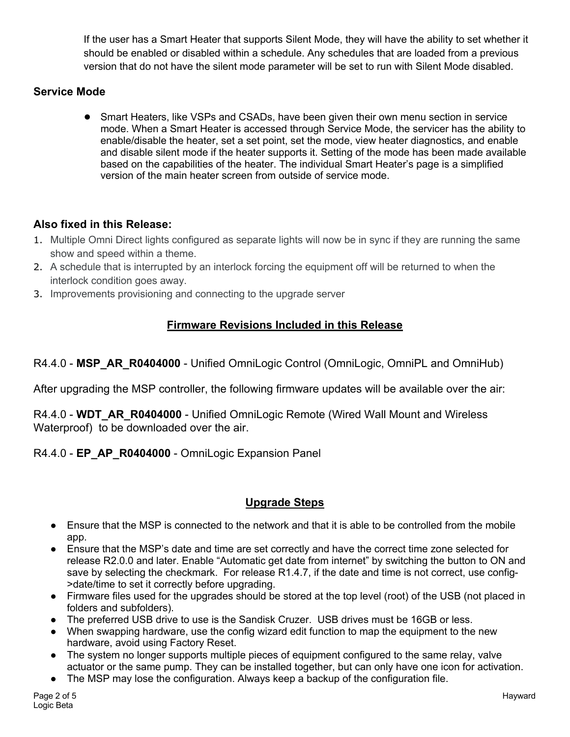If the user has a Smart Heater that supports Silent Mode, they will have the ability to set whether it should be enabled or disabled within a schedule. Any schedules that are loaded from a previous version that do not have the silent mode parameter will be set to run with Silent Mode disabled.

## **Service Mode**

● Smart Heaters, like VSPs and CSADs, have been given their own menu section in service mode. When a Smart Heater is accessed through Service Mode, the servicer has the ability to enable/disable the heater, set a set point, set the mode, view heater diagnostics, and enable and disable silent mode if the heater supports it. Setting of the mode has been made available based on the capabilities of the heater. The individual Smart Heater's page is a simplified version of the main heater screen from outside of service mode.

# **Also fixed in this Release:**

- 1. Multiple Omni Direct lights configured as separate lights will now be in sync if they are running the same show and speed within a theme.
- 2. A schedule that is interrupted by an interlock forcing the equipment off will be returned to when the interlock condition goes away.
- 3. Improvements provisioning and connecting to the upgrade server

# **Firmware Revisions Included in this Release**

R4.4.0 - MSP AR R0404000 - Unified OmniLogic Control (OmniLogic, OmniPL and OmniHub)

After upgrading the MSP controller, the following firmware updates will be available over the air:

R4.4.0 - **WDT\_AR\_R0404000** - Unified OmniLogic Remote (Wired Wall Mount and Wireless Waterproof) to be downloaded over the air.

## R4.4.0 - **EP\_AP\_R0404000** - OmniLogic Expansion Panel

## **Upgrade Steps**

- Ensure that the MSP is connected to the network and that it is able to be controlled from the mobile app.
- Ensure that the MSP's date and time are set correctly and have the correct time zone selected for release R2.0.0 and later. Enable "Automatic get date from internet" by switching the button to ON and save by selecting the checkmark. For release R1.4.7, if the date and time is not correct, use config- >date/time to set it correctly before upgrading.
- Firmware files used for the upgrades should be stored at the top level (root) of the USB (not placed in folders and subfolders).
- The preferred USB drive to use is the Sandisk Cruzer. USB drives must be 16GB or less.
- When swapping hardware, use the config wizard edit function to map the equipment to the new hardware, avoid using Factory Reset.
- The system no longer supports multiple pieces of equipment configured to the same relay, valve actuator or the same pump. They can be installed together, but can only have one icon for activation.
- The MSP may lose the configuration. Always keep a backup of the configuration file.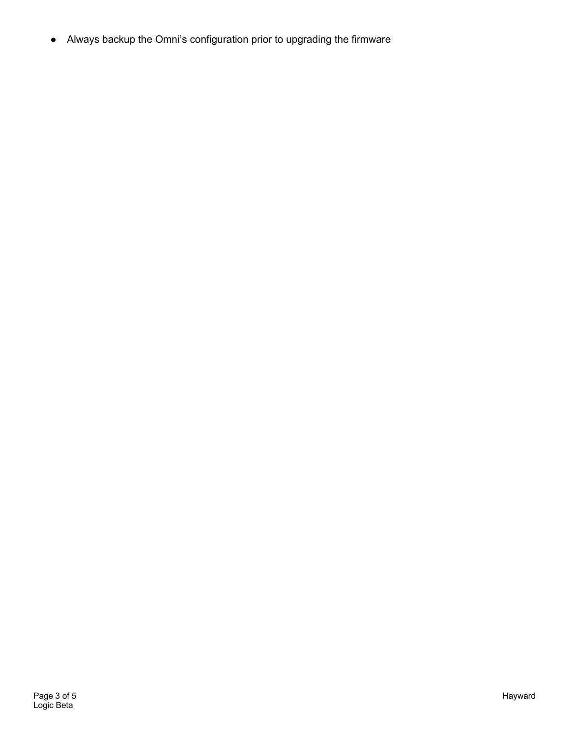● Always backup the Omni's configuration prior to upgrading the firmware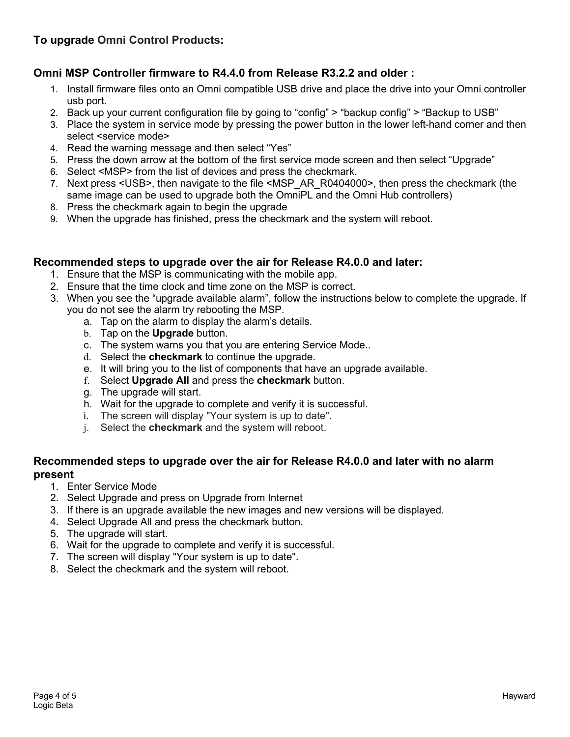# **Omni MSP Controller firmware to R4.4.0 from Release R3.2.2 and older :**

- 1. Install firmware files onto an Omni compatible USB drive and place the drive into your Omni controller usb port.
- 2. Back up your current configuration file by going to "config" > "backup config" > "Backup to USB"
- 3. Place the system in service mode by pressing the power button in the lower left-hand corner and then select <service mode>
- 4. Read the warning message and then select "Yes"
- 5. Press the down arrow at the bottom of the first service mode screen and then select "Upgrade"
- 6. Select <MSP> from the list of devices and press the checkmark.
- 7. Next press <USB>, then navigate to the file <MSP\_AR\_R0404000>, then press the checkmark (the same image can be used to upgrade both the OmniPL and the Omni Hub controllers)
- 8. Press the checkmark again to begin the upgrade
- 9. When the upgrade has finished, press the checkmark and the system will reboot.

## **Recommended steps to upgrade over the air for Release R4.0.0 and later:**

- 1. Ensure that the MSP is communicating with the mobile app.
- 2. Ensure that the time clock and time zone on the MSP is correct.
- 3. When you see the "upgrade available alarm", follow the instructions below to complete the upgrade. If you do not see the alarm try rebooting the MSP.
	- a. Tap on the alarm to display the alarm's details.
	- b. Tap on the **Upgrade** button.
	- c. The system warns you that you are entering Service Mode..
	- d. Select the **checkmark** to continue the upgrade.
	- e. It will bring you to the list of components that have an upgrade available.
	- f. Select **Upgrade All** and press the **checkmark** button.
	- g. The upgrade will start.
	- h. Wait for the upgrade to complete and verify it is successful.
	- i. The screen will display "Your system is up to date".
	- j. Select the **checkmark** and the system will reboot.

#### **Recommended steps to upgrade over the air for Release R4.0.0 and later with no alarm present**

- 1. Enter Service Mode
- 2. Select Upgrade and press on Upgrade from Internet
- 3. If there is an upgrade available the new images and new versions will be displayed.
- 4. Select Upgrade All and press the checkmark button.
- 5. The upgrade will start.
- 6. Wait for the upgrade to complete and verify it is successful.
- 7. The screen will display "Your system is up to date".
- 8. Select the checkmark and the system will reboot.